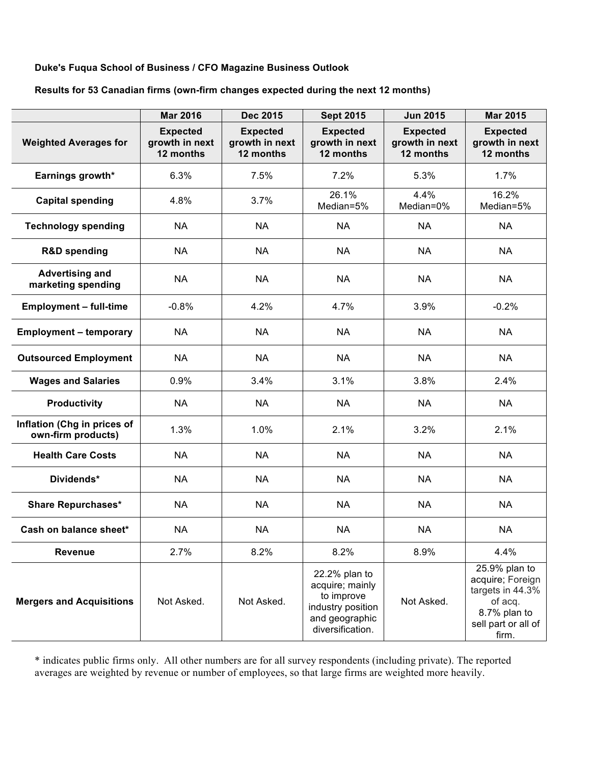## **Duke's Fuqua School of Business / CFO Magazine Business Outlook**

## **Results for 53 Canadian firms (own-firm changes expected during the next 12 months)**

|                                                   | <b>Mar 2016</b>                                | <b>Dec 2015</b>                                | <b>Sept 2015</b>                                                                                          | <b>Jun 2015</b>                                | <b>Mar 2015</b>                                                                                                  |
|---------------------------------------------------|------------------------------------------------|------------------------------------------------|-----------------------------------------------------------------------------------------------------------|------------------------------------------------|------------------------------------------------------------------------------------------------------------------|
| <b>Weighted Averages for</b>                      | <b>Expected</b><br>growth in next<br>12 months | <b>Expected</b><br>growth in next<br>12 months | <b>Expected</b><br>growth in next<br>12 months                                                            | <b>Expected</b><br>growth in next<br>12 months | <b>Expected</b><br>growth in next<br>12 months                                                                   |
| Earnings growth*                                  | 6.3%                                           | 7.5%                                           | 7.2%                                                                                                      | 5.3%                                           | 1.7%                                                                                                             |
| <b>Capital spending</b>                           | 4.8%                                           | 3.7%                                           | 26.1%<br>Median=5%                                                                                        | 4.4%<br>Median=0%                              | 16.2%<br>Median=5%                                                                                               |
| <b>Technology spending</b>                        | <b>NA</b>                                      | <b>NA</b>                                      | <b>NA</b>                                                                                                 | <b>NA</b>                                      | <b>NA</b>                                                                                                        |
| <b>R&amp;D spending</b>                           | <b>NA</b>                                      | <b>NA</b>                                      | <b>NA</b>                                                                                                 | <b>NA</b>                                      | <b>NA</b>                                                                                                        |
| <b>Advertising and</b><br>marketing spending      | <b>NA</b>                                      | <b>NA</b>                                      | <b>NA</b>                                                                                                 | <b>NA</b>                                      | <b>NA</b>                                                                                                        |
| <b>Employment - full-time</b>                     | $-0.8%$                                        | 4.2%                                           | 4.7%                                                                                                      | 3.9%                                           | $-0.2%$                                                                                                          |
| <b>Employment - temporary</b>                     | <b>NA</b>                                      | <b>NA</b>                                      | <b>NA</b>                                                                                                 | <b>NA</b>                                      | <b>NA</b>                                                                                                        |
| <b>Outsourced Employment</b>                      | <b>NA</b>                                      | <b>NA</b>                                      | <b>NA</b>                                                                                                 | <b>NA</b>                                      | <b>NA</b>                                                                                                        |
| <b>Wages and Salaries</b>                         | 0.9%                                           | 3.4%                                           | 3.1%                                                                                                      | 3.8%                                           | 2.4%                                                                                                             |
| <b>Productivity</b>                               | <b>NA</b>                                      | <b>NA</b>                                      | <b>NA</b>                                                                                                 | <b>NA</b>                                      | <b>NA</b>                                                                                                        |
| Inflation (Chg in prices of<br>own-firm products) | 1.3%                                           | 1.0%                                           | 2.1%                                                                                                      | 3.2%                                           | 2.1%                                                                                                             |
| <b>Health Care Costs</b>                          | <b>NA</b>                                      | <b>NA</b>                                      | <b>NA</b>                                                                                                 | <b>NA</b>                                      | <b>NA</b>                                                                                                        |
| Dividends*                                        | <b>NA</b>                                      | <b>NA</b>                                      | <b>NA</b>                                                                                                 | <b>NA</b>                                      | <b>NA</b>                                                                                                        |
| <b>Share Repurchases*</b>                         | <b>NA</b>                                      | <b>NA</b>                                      | <b>NA</b>                                                                                                 | <b>NA</b>                                      | <b>NA</b>                                                                                                        |
| Cash on balance sheet*                            | <b>NA</b>                                      | <b>NA</b>                                      | <b>NA</b>                                                                                                 | <b>NA</b>                                      | <b>NA</b>                                                                                                        |
| Revenue                                           | 2.7%                                           | 8.2%                                           | 8.2%                                                                                                      | 8.9%                                           | 4.4%                                                                                                             |
| <b>Mergers and Acquisitions</b>                   | Not Asked.                                     | Not Asked.                                     | 22.2% plan to<br>acquire; mainly<br>to improve<br>industry position<br>and geographic<br>diversification. | Not Asked.                                     | 25.9% plan to<br>acquire; Foreign<br>targets in 44.3%<br>of acq.<br>8.7% plan to<br>sell part or all of<br>firm. |

\* indicates public firms only. All other numbers are for all survey respondents (including private). The reported averages are weighted by revenue or number of employees, so that large firms are weighted more heavily.